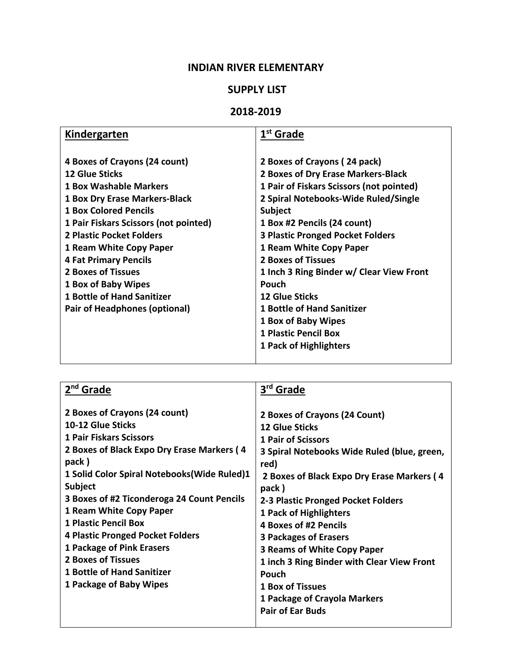# **INDIAN RIVER ELEMENTARY**

### **SUPPLY LIST**

### **2018-2019**

| Kindergarten                          | 1 <sup>st</sup> Grade                    |
|---------------------------------------|------------------------------------------|
|                                       |                                          |
| 4 Boxes of Crayons (24 count)         | 2 Boxes of Crayons (24 pack)             |
| <b>12 Glue Sticks</b>                 | 2 Boxes of Dry Erase Markers-Black       |
| <b>1 Box Washable Markers</b>         | 1 Pair of Fiskars Scissors (not pointed) |
| <b>1 Box Dry Erase Markers-Black</b>  | 2 Spiral Notebooks-Wide Ruled/Single     |
| <b>1 Box Colored Pencils</b>          | <b>Subject</b>                           |
| 1 Pair Fiskars Scissors (not pointed) | 1 Box #2 Pencils (24 count)              |
| 2 Plastic Pocket Folders              | <b>3 Plastic Pronged Pocket Folders</b>  |
| 1 Ream White Copy Paper               | 1 Ream White Copy Paper                  |
| <b>4 Fat Primary Pencils</b>          | <b>2 Boxes of Tissues</b>                |
| <b>2 Boxes of Tissues</b>             | 1 Inch 3 Ring Binder w/ Clear View Front |
| 1 Box of Baby Wipes                   | Pouch                                    |
| <b>1 Bottle of Hand Sanitizer</b>     | <b>12 Glue Sticks</b>                    |
| Pair of Headphones (optional)         | <b>1 Bottle of Hand Sanitizer</b>        |
|                                       | 1 Box of Baby Wipes                      |
|                                       | <b>1 Plastic Pencil Box</b>              |
|                                       | 1 Pack of Highlighters                   |
|                                       |                                          |

| 2 <sup>nd</sup> Grade                                                                                                                                                                                                                                                                                                                                                                                                                                                               | 3 <sup>rd</sup><br>Grade                                                                                                                                                                                                                                                                                                                                                                                                                                                                                      |
|-------------------------------------------------------------------------------------------------------------------------------------------------------------------------------------------------------------------------------------------------------------------------------------------------------------------------------------------------------------------------------------------------------------------------------------------------------------------------------------|---------------------------------------------------------------------------------------------------------------------------------------------------------------------------------------------------------------------------------------------------------------------------------------------------------------------------------------------------------------------------------------------------------------------------------------------------------------------------------------------------------------|
| 2 Boxes of Crayons (24 count)<br>10-12 Glue Sticks<br><b>1 Pair Fiskars Scissors</b><br>2 Boxes of Black Expo Dry Erase Markers (4<br>pack)<br>1 Solid Color Spiral Notebooks (Wide Ruled)1<br><b>Subject</b><br>3 Boxes of #2 Ticonderoga 24 Count Pencils<br>1 Ream White Copy Paper<br>1 Plastic Pencil Box<br><b>4 Plastic Pronged Pocket Folders</b><br>1 Package of Pink Erasers<br><b>2 Boxes of Tissues</b><br><b>1 Bottle of Hand Sanitizer</b><br>1 Package of Baby Wipes | 2 Boxes of Crayons (24 Count)<br><b>12 Glue Sticks</b><br><b>1 Pair of Scissors</b><br>3 Spiral Notebooks Wide Ruled (blue, green,<br>red)<br>2 Boxes of Black Expo Dry Erase Markers (4<br>pack)<br>2-3 Plastic Pronged Pocket Folders<br>1 Pack of Highlighters<br>4 Boxes of #2 Pencils<br><b>3 Packages of Erasers</b><br>3 Reams of White Copy Paper<br>1 inch 3 Ring Binder with Clear View Front<br><b>Pouch</b><br><b>1 Box of Tissues</b><br>1 Package of Crayola Markers<br><b>Pair of Ear Buds</b> |
|                                                                                                                                                                                                                                                                                                                                                                                                                                                                                     |                                                                                                                                                                                                                                                                                                                                                                                                                                                                                                               |